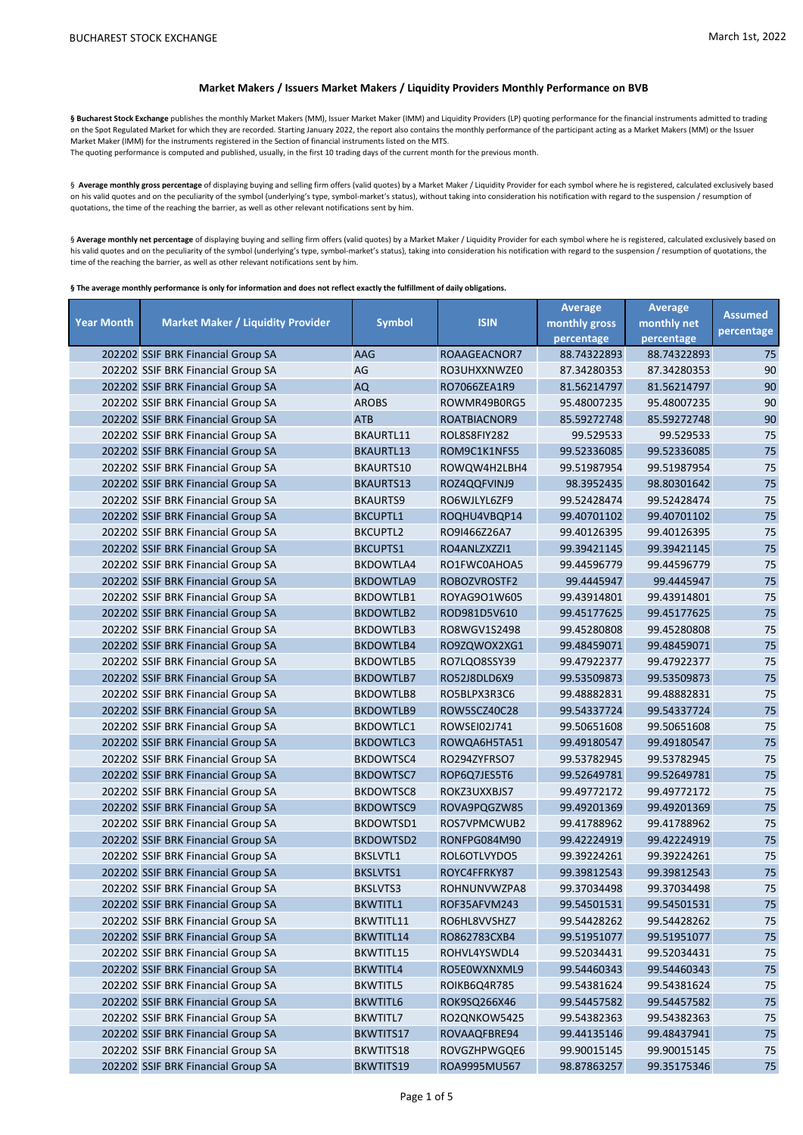## **Market Makers / Issuers Market Makers / Liquidity Providers Monthly Performance on BVB**

§ Bucharest Stock Exchange publishes the monthly Market Makers (MM), Issuer Market Maker (IMM) and Liquidity Providers (LP) quoting performance for the financial instruments admitted to trading on the Spot Regulated Market for which they are recorded. Starting January 2022, the report also contains the monthly performance of the participant acting as a Market Makers (MM) or the Issuer Market Maker (IMM) for the instruments registered in the Section of financial instruments listed on the MTS. The quoting performance is computed and published, usually, in the first 10 trading days of the current month for the previous month.

§ Average monthly gross percentage of displaying buying and selling firm offers (valid quotes) by a Market Maker / Liquidity Provider for each symbol where he is registered, calculated exclusively based

on his valid quotes and on the peculiarity of the symbol (underlying's type, symbol-market's status), without taking into consideration his notification with regard to the suspension / resumption of quotations, the time of the reaching the barrier, as well as other relevant notifications sent by him.

§ Average monthly net percentage of displaying buying and selling firm offers (valid quotes) by a Market Maker / Liquidity Provider for each symbol where he is registered, calculated exclusively based on his valid quotes and on the peculiarity of the symbol (underlying's type, symbol-market's status), taking into consideration his notification with regard to the suspension / resumption of quotations, the time of the reaching the barrier, as well as other relevant notifications sent by him.

**§ The average monthly performance is only for information and does not reflect exactly the fulfillment of daily obligations.** 

| <b>Year Month</b><br><b>Market Maker / Liquidity Provider</b><br>monthly gross<br>percentage<br>percentage<br>percentage<br>75<br>202202 SSIF BRK Financial Group SA<br>AAG<br>ROAAGEACNOR7<br>88.74322893<br>88.74322893<br>AG<br>RO3UHXXNWZE0<br>87.34280353<br>87.34280353<br>90<br>202202 SSIF BRK Financial Group SA<br>90<br>202202 SSIF BRK Financial Group SA<br><b>AQ</b><br>RO7066ZEA1R9<br>81.56214797<br>81.56214797<br>90<br><b>AROBS</b><br>ROWMR49B0RG5<br>95.48007235<br>95.48007235<br>202202 SSIF BRK Financial Group SA<br>85.59272748<br>90<br>202202 SSIF BRK Financial Group SA<br><b>ATB</b><br>ROATBIACNOR9<br>85.59272748<br>BKAURTL11<br>ROL8S8FIY282<br>99.529533<br>99.529533<br>75<br>202202 SSIF BRK Financial Group SA<br>75<br>202202 SSIF BRK Financial Group SA<br>BKAURTL13<br>ROM9C1K1NFS5<br>99.52336085<br>99.52336085<br>75<br>BKAURTS10<br>99.51987954<br>99.51987954<br>202202 SSIF BRK Financial Group SA<br>ROWQW4H2LBH4<br>75<br>202202 SSIF BRK Financial Group SA<br><b>BKAURTS13</b><br>ROZ4QQFVINJ9<br>98.3952435<br>98.80301642<br>75<br><b>BKAURTS9</b><br>RO6WJLYL6ZF9<br>99.52428474<br>99.52428474<br>202202 SSIF BRK Financial Group SA<br>75<br>202202 SSIF BRK Financial Group SA<br><b>BKCUPTL1</b><br>99.40701102<br>99.40701102<br>ROQHU4VBQP14<br>RO9I466Z26A7<br>99.40126395<br>99.40126395<br>75<br>202202 SSIF BRK Financial Group SA<br><b>BKCUPTL2</b><br>75<br>202202 SSIF BRK Financial Group SA<br><b>BKCUPTS1</b><br>RO4ANLZXZZI1<br>99.39421145<br>99.39421145<br>75<br>BKDOWTLA4<br>RO1FWC0AHOA5<br>99.44596779<br>99.44596779<br>202202 SSIF BRK Financial Group SA<br>75<br>202202 SSIF BRK Financial Group SA<br><b>BKDOWTLA9</b><br>ROBOZVROSTF2<br>99.4445947<br>99.4445947<br>BKDOWTLB1<br>ROYAG9O1W605<br>99.43914801<br>99.43914801<br>75<br>202202 SSIF BRK Financial Group SA<br>75<br>202202 SSIF BRK Financial Group SA<br><b>BKDOWTLB2</b><br>ROD981D5V610<br>99.45177625<br>99.45177625<br>75<br>BKDOWTLB3<br>RO8WGV1S2498<br>99.45280808<br>99.45280808<br>202202 SSIF BRK Financial Group SA<br>75<br>202202 SSIF BRK Financial Group SA<br><b>BKDOWTLB4</b><br>RO9ZQWOX2XG1<br>99.48459071<br>99.48459071<br><b>BKDOWTLB5</b><br>99.47922377<br>99.47922377<br>75<br>202202 SSIF BRK Financial Group SA<br>RO7LQO8SSY39<br>75<br>202202 SSIF BRK Financial Group SA<br><b>BKDOWTLB7</b><br>RO52J8DLD6X9<br>99.53509873<br>99.53509873<br>75<br><b>BKDOWTLB8</b><br>RO5BLPX3R3C6<br>99.48882831<br>99.48882831<br>202202 SSIF BRK Financial Group SA<br>75<br>99.54337724<br>202202 SSIF BRK Financial Group SA<br><b>BKDOWTLB9</b><br>ROW5SCZ40C28<br>99.54337724<br>75<br>BKDOWTLC1<br>ROWSE102J741<br>99.50651608<br>99.50651608<br>202202 SSIF BRK Financial Group SA<br>75<br>202202 SSIF BRK Financial Group SA<br><b>BKDOWTLC3</b><br>99.49180547<br>99.49180547<br>ROWQA6H5TA51<br>BKDOWTSC4<br>RO294ZYFRSO7<br>99.53782945<br>99.53782945<br>75<br>202202 SSIF BRK Financial Group SA<br>75<br>202202 SSIF BRK Financial Group SA<br>BKDOWTSC7<br>ROP6Q7JES5T6<br>99.52649781<br>99.52649781<br>75<br><b>BKDOWTSC8</b><br>ROKZ3UXXBJS7<br>99.49772172<br>99.49772172<br>202202 SSIF BRK Financial Group SA<br>75<br>202202 SSIF BRK Financial Group SA<br><b>BKDOWTSC9</b><br>99.49201369<br>99.49201369<br>ROVA9PQGZW85<br>BKDOWTSD1<br>ROS7VPMCWUB2<br>99.41788962<br>99.41788962<br>75<br>202202 SSIF BRK Financial Group SA<br>75<br>202202 SSIF BRK Financial Group SA<br>BKDOWTSD2<br>RONFPG084M90<br>99.42224919<br>99.42224919<br><b>BKSLVTL1</b><br>ROL6OTLVYDO5<br>99.39224261<br>99.39224261<br>75<br>202202 SSIF BRK Financial Group SA<br>75<br><b>BKSLVTS1</b><br>ROYC4FFRKY87<br>99.39812543<br>99.39812543<br>202202 SSIF BRK Financial Group SA<br>ROHNUNVWZPA8<br>99.37034498<br>99.37034498<br>75<br>202202 SSIF BRK Financial Group SA<br>BKSLVTS3<br>75<br>ROF35AFVM243<br>99.54501531<br>99.54501531<br>202202 SSIF BRK Financial Group SA<br><b>BKWTITL1</b><br>202202 SSIF BRK Financial Group SA<br>BKWTITL11<br>RO6HL8VVSHZ7<br>99.54428262<br>99.54428262<br>75<br>202202 SSIF BRK Financial Group SA<br>99.51951077<br>99.51951077<br>$75\,$<br>BKWTITL14<br>RO862783CXB4<br>99.52034431<br>202202 SSIF BRK Financial Group SA<br>BKWTITL15<br>ROHVL4YSWDL4<br>99.52034431<br>75<br>202202 SSIF BRK Financial Group SA<br>99.54460343<br>75<br>BKWTITL4<br>RO5E0WXNXML9<br>99.54460343<br>99.54381624<br>202202 SSIF BRK Financial Group SA<br><b>BKWTITL5</b><br>ROIKB6Q4R785<br>99.54381624<br>75<br>202202 SSIF BRK Financial Group SA<br>99.54457582<br>75<br><b>BKWTITL6</b><br>ROK9SQ266X46<br>99.54457582<br>99.54382363<br>202202 SSIF BRK Financial Group SA<br>BKWTITL7<br>RO2QNKOW5425<br>99.54382363<br>75 |  |               |             | <b>Average</b> | <b>Average</b> | <b>Assumed</b> |
|----------------------------------------------------------------------------------------------------------------------------------------------------------------------------------------------------------------------------------------------------------------------------------------------------------------------------------------------------------------------------------------------------------------------------------------------------------------------------------------------------------------------------------------------------------------------------------------------------------------------------------------------------------------------------------------------------------------------------------------------------------------------------------------------------------------------------------------------------------------------------------------------------------------------------------------------------------------------------------------------------------------------------------------------------------------------------------------------------------------------------------------------------------------------------------------------------------------------------------------------------------------------------------------------------------------------------------------------------------------------------------------------------------------------------------------------------------------------------------------------------------------------------------------------------------------------------------------------------------------------------------------------------------------------------------------------------------------------------------------------------------------------------------------------------------------------------------------------------------------------------------------------------------------------------------------------------------------------------------------------------------------------------------------------------------------------------------------------------------------------------------------------------------------------------------------------------------------------------------------------------------------------------------------------------------------------------------------------------------------------------------------------------------------------------------------------------------------------------------------------------------------------------------------------------------------------------------------------------------------------------------------------------------------------------------------------------------------------------------------------------------------------------------------------------------------------------------------------------------------------------------------------------------------------------------------------------------------------------------------------------------------------------------------------------------------------------------------------------------------------------------------------------------------------------------------------------------------------------------------------------------------------------------------------------------------------------------------------------------------------------------------------------------------------------------------------------------------------------------------------------------------------------------------------------------------------------------------------------------------------------------------------------------------------------------------------------------------------------------------------------------------------------------------------------------------------------------------------------------------------------------------------------------------------------------------------------------------------------------------------------------------------------------------------------------------------------------------------------------------------------------------------------------------------------------------------------------------------------------------------------------------------------------------------------------------------------------------------------------------------------------------------------------------------------------------------------------------------------------------------------------------------------------------------------------------------------------------------------------------------------------------------------------------------------------------------------------------------------------------------------|--|---------------|-------------|----------------|----------------|----------------|
|                                                                                                                                                                                                                                                                                                                                                                                                                                                                                                                                                                                                                                                                                                                                                                                                                                                                                                                                                                                                                                                                                                                                                                                                                                                                                                                                                                                                                                                                                                                                                                                                                                                                                                                                                                                                                                                                                                                                                                                                                                                                                                                                                                                                                                                                                                                                                                                                                                                                                                                                                                                                                                                                                                                                                                                                                                                                                                                                                                                                                                                                                                                                                                                                                                                                                                                                                                                                                                                                                                                                                                                                                                                                                                                                                                                                                                                                                                                                                                                                                                                                                                                                                                                                                                                                                                                                                                                                                                                                                                                                                                                                                                                                                                                                                    |  | <b>Symbol</b> | <b>ISIN</b> |                | monthly net    |                |
|                                                                                                                                                                                                                                                                                                                                                                                                                                                                                                                                                                                                                                                                                                                                                                                                                                                                                                                                                                                                                                                                                                                                                                                                                                                                                                                                                                                                                                                                                                                                                                                                                                                                                                                                                                                                                                                                                                                                                                                                                                                                                                                                                                                                                                                                                                                                                                                                                                                                                                                                                                                                                                                                                                                                                                                                                                                                                                                                                                                                                                                                                                                                                                                                                                                                                                                                                                                                                                                                                                                                                                                                                                                                                                                                                                                                                                                                                                                                                                                                                                                                                                                                                                                                                                                                                                                                                                                                                                                                                                                                                                                                                                                                                                                                                    |  |               |             |                |                |                |
|                                                                                                                                                                                                                                                                                                                                                                                                                                                                                                                                                                                                                                                                                                                                                                                                                                                                                                                                                                                                                                                                                                                                                                                                                                                                                                                                                                                                                                                                                                                                                                                                                                                                                                                                                                                                                                                                                                                                                                                                                                                                                                                                                                                                                                                                                                                                                                                                                                                                                                                                                                                                                                                                                                                                                                                                                                                                                                                                                                                                                                                                                                                                                                                                                                                                                                                                                                                                                                                                                                                                                                                                                                                                                                                                                                                                                                                                                                                                                                                                                                                                                                                                                                                                                                                                                                                                                                                                                                                                                                                                                                                                                                                                                                                                                    |  |               |             |                |                |                |
|                                                                                                                                                                                                                                                                                                                                                                                                                                                                                                                                                                                                                                                                                                                                                                                                                                                                                                                                                                                                                                                                                                                                                                                                                                                                                                                                                                                                                                                                                                                                                                                                                                                                                                                                                                                                                                                                                                                                                                                                                                                                                                                                                                                                                                                                                                                                                                                                                                                                                                                                                                                                                                                                                                                                                                                                                                                                                                                                                                                                                                                                                                                                                                                                                                                                                                                                                                                                                                                                                                                                                                                                                                                                                                                                                                                                                                                                                                                                                                                                                                                                                                                                                                                                                                                                                                                                                                                                                                                                                                                                                                                                                                                                                                                                                    |  |               |             |                |                |                |
|                                                                                                                                                                                                                                                                                                                                                                                                                                                                                                                                                                                                                                                                                                                                                                                                                                                                                                                                                                                                                                                                                                                                                                                                                                                                                                                                                                                                                                                                                                                                                                                                                                                                                                                                                                                                                                                                                                                                                                                                                                                                                                                                                                                                                                                                                                                                                                                                                                                                                                                                                                                                                                                                                                                                                                                                                                                                                                                                                                                                                                                                                                                                                                                                                                                                                                                                                                                                                                                                                                                                                                                                                                                                                                                                                                                                                                                                                                                                                                                                                                                                                                                                                                                                                                                                                                                                                                                                                                                                                                                                                                                                                                                                                                                                                    |  |               |             |                |                |                |
|                                                                                                                                                                                                                                                                                                                                                                                                                                                                                                                                                                                                                                                                                                                                                                                                                                                                                                                                                                                                                                                                                                                                                                                                                                                                                                                                                                                                                                                                                                                                                                                                                                                                                                                                                                                                                                                                                                                                                                                                                                                                                                                                                                                                                                                                                                                                                                                                                                                                                                                                                                                                                                                                                                                                                                                                                                                                                                                                                                                                                                                                                                                                                                                                                                                                                                                                                                                                                                                                                                                                                                                                                                                                                                                                                                                                                                                                                                                                                                                                                                                                                                                                                                                                                                                                                                                                                                                                                                                                                                                                                                                                                                                                                                                                                    |  |               |             |                |                |                |
|                                                                                                                                                                                                                                                                                                                                                                                                                                                                                                                                                                                                                                                                                                                                                                                                                                                                                                                                                                                                                                                                                                                                                                                                                                                                                                                                                                                                                                                                                                                                                                                                                                                                                                                                                                                                                                                                                                                                                                                                                                                                                                                                                                                                                                                                                                                                                                                                                                                                                                                                                                                                                                                                                                                                                                                                                                                                                                                                                                                                                                                                                                                                                                                                                                                                                                                                                                                                                                                                                                                                                                                                                                                                                                                                                                                                                                                                                                                                                                                                                                                                                                                                                                                                                                                                                                                                                                                                                                                                                                                                                                                                                                                                                                                                                    |  |               |             |                |                |                |
|                                                                                                                                                                                                                                                                                                                                                                                                                                                                                                                                                                                                                                                                                                                                                                                                                                                                                                                                                                                                                                                                                                                                                                                                                                                                                                                                                                                                                                                                                                                                                                                                                                                                                                                                                                                                                                                                                                                                                                                                                                                                                                                                                                                                                                                                                                                                                                                                                                                                                                                                                                                                                                                                                                                                                                                                                                                                                                                                                                                                                                                                                                                                                                                                                                                                                                                                                                                                                                                                                                                                                                                                                                                                                                                                                                                                                                                                                                                                                                                                                                                                                                                                                                                                                                                                                                                                                                                                                                                                                                                                                                                                                                                                                                                                                    |  |               |             |                |                |                |
|                                                                                                                                                                                                                                                                                                                                                                                                                                                                                                                                                                                                                                                                                                                                                                                                                                                                                                                                                                                                                                                                                                                                                                                                                                                                                                                                                                                                                                                                                                                                                                                                                                                                                                                                                                                                                                                                                                                                                                                                                                                                                                                                                                                                                                                                                                                                                                                                                                                                                                                                                                                                                                                                                                                                                                                                                                                                                                                                                                                                                                                                                                                                                                                                                                                                                                                                                                                                                                                                                                                                                                                                                                                                                                                                                                                                                                                                                                                                                                                                                                                                                                                                                                                                                                                                                                                                                                                                                                                                                                                                                                                                                                                                                                                                                    |  |               |             |                |                |                |
|                                                                                                                                                                                                                                                                                                                                                                                                                                                                                                                                                                                                                                                                                                                                                                                                                                                                                                                                                                                                                                                                                                                                                                                                                                                                                                                                                                                                                                                                                                                                                                                                                                                                                                                                                                                                                                                                                                                                                                                                                                                                                                                                                                                                                                                                                                                                                                                                                                                                                                                                                                                                                                                                                                                                                                                                                                                                                                                                                                                                                                                                                                                                                                                                                                                                                                                                                                                                                                                                                                                                                                                                                                                                                                                                                                                                                                                                                                                                                                                                                                                                                                                                                                                                                                                                                                                                                                                                                                                                                                                                                                                                                                                                                                                                                    |  |               |             |                |                |                |
|                                                                                                                                                                                                                                                                                                                                                                                                                                                                                                                                                                                                                                                                                                                                                                                                                                                                                                                                                                                                                                                                                                                                                                                                                                                                                                                                                                                                                                                                                                                                                                                                                                                                                                                                                                                                                                                                                                                                                                                                                                                                                                                                                                                                                                                                                                                                                                                                                                                                                                                                                                                                                                                                                                                                                                                                                                                                                                                                                                                                                                                                                                                                                                                                                                                                                                                                                                                                                                                                                                                                                                                                                                                                                                                                                                                                                                                                                                                                                                                                                                                                                                                                                                                                                                                                                                                                                                                                                                                                                                                                                                                                                                                                                                                                                    |  |               |             |                |                |                |
|                                                                                                                                                                                                                                                                                                                                                                                                                                                                                                                                                                                                                                                                                                                                                                                                                                                                                                                                                                                                                                                                                                                                                                                                                                                                                                                                                                                                                                                                                                                                                                                                                                                                                                                                                                                                                                                                                                                                                                                                                                                                                                                                                                                                                                                                                                                                                                                                                                                                                                                                                                                                                                                                                                                                                                                                                                                                                                                                                                                                                                                                                                                                                                                                                                                                                                                                                                                                                                                                                                                                                                                                                                                                                                                                                                                                                                                                                                                                                                                                                                                                                                                                                                                                                                                                                                                                                                                                                                                                                                                                                                                                                                                                                                                                                    |  |               |             |                |                |                |
|                                                                                                                                                                                                                                                                                                                                                                                                                                                                                                                                                                                                                                                                                                                                                                                                                                                                                                                                                                                                                                                                                                                                                                                                                                                                                                                                                                                                                                                                                                                                                                                                                                                                                                                                                                                                                                                                                                                                                                                                                                                                                                                                                                                                                                                                                                                                                                                                                                                                                                                                                                                                                                                                                                                                                                                                                                                                                                                                                                                                                                                                                                                                                                                                                                                                                                                                                                                                                                                                                                                                                                                                                                                                                                                                                                                                                                                                                                                                                                                                                                                                                                                                                                                                                                                                                                                                                                                                                                                                                                                                                                                                                                                                                                                                                    |  |               |             |                |                |                |
|                                                                                                                                                                                                                                                                                                                                                                                                                                                                                                                                                                                                                                                                                                                                                                                                                                                                                                                                                                                                                                                                                                                                                                                                                                                                                                                                                                                                                                                                                                                                                                                                                                                                                                                                                                                                                                                                                                                                                                                                                                                                                                                                                                                                                                                                                                                                                                                                                                                                                                                                                                                                                                                                                                                                                                                                                                                                                                                                                                                                                                                                                                                                                                                                                                                                                                                                                                                                                                                                                                                                                                                                                                                                                                                                                                                                                                                                                                                                                                                                                                                                                                                                                                                                                                                                                                                                                                                                                                                                                                                                                                                                                                                                                                                                                    |  |               |             |                |                |                |
|                                                                                                                                                                                                                                                                                                                                                                                                                                                                                                                                                                                                                                                                                                                                                                                                                                                                                                                                                                                                                                                                                                                                                                                                                                                                                                                                                                                                                                                                                                                                                                                                                                                                                                                                                                                                                                                                                                                                                                                                                                                                                                                                                                                                                                                                                                                                                                                                                                                                                                                                                                                                                                                                                                                                                                                                                                                                                                                                                                                                                                                                                                                                                                                                                                                                                                                                                                                                                                                                                                                                                                                                                                                                                                                                                                                                                                                                                                                                                                                                                                                                                                                                                                                                                                                                                                                                                                                                                                                                                                                                                                                                                                                                                                                                                    |  |               |             |                |                |                |
|                                                                                                                                                                                                                                                                                                                                                                                                                                                                                                                                                                                                                                                                                                                                                                                                                                                                                                                                                                                                                                                                                                                                                                                                                                                                                                                                                                                                                                                                                                                                                                                                                                                                                                                                                                                                                                                                                                                                                                                                                                                                                                                                                                                                                                                                                                                                                                                                                                                                                                                                                                                                                                                                                                                                                                                                                                                                                                                                                                                                                                                                                                                                                                                                                                                                                                                                                                                                                                                                                                                                                                                                                                                                                                                                                                                                                                                                                                                                                                                                                                                                                                                                                                                                                                                                                                                                                                                                                                                                                                                                                                                                                                                                                                                                                    |  |               |             |                |                |                |
|                                                                                                                                                                                                                                                                                                                                                                                                                                                                                                                                                                                                                                                                                                                                                                                                                                                                                                                                                                                                                                                                                                                                                                                                                                                                                                                                                                                                                                                                                                                                                                                                                                                                                                                                                                                                                                                                                                                                                                                                                                                                                                                                                                                                                                                                                                                                                                                                                                                                                                                                                                                                                                                                                                                                                                                                                                                                                                                                                                                                                                                                                                                                                                                                                                                                                                                                                                                                                                                                                                                                                                                                                                                                                                                                                                                                                                                                                                                                                                                                                                                                                                                                                                                                                                                                                                                                                                                                                                                                                                                                                                                                                                                                                                                                                    |  |               |             |                |                |                |
|                                                                                                                                                                                                                                                                                                                                                                                                                                                                                                                                                                                                                                                                                                                                                                                                                                                                                                                                                                                                                                                                                                                                                                                                                                                                                                                                                                                                                                                                                                                                                                                                                                                                                                                                                                                                                                                                                                                                                                                                                                                                                                                                                                                                                                                                                                                                                                                                                                                                                                                                                                                                                                                                                                                                                                                                                                                                                                                                                                                                                                                                                                                                                                                                                                                                                                                                                                                                                                                                                                                                                                                                                                                                                                                                                                                                                                                                                                                                                                                                                                                                                                                                                                                                                                                                                                                                                                                                                                                                                                                                                                                                                                                                                                                                                    |  |               |             |                |                |                |
|                                                                                                                                                                                                                                                                                                                                                                                                                                                                                                                                                                                                                                                                                                                                                                                                                                                                                                                                                                                                                                                                                                                                                                                                                                                                                                                                                                                                                                                                                                                                                                                                                                                                                                                                                                                                                                                                                                                                                                                                                                                                                                                                                                                                                                                                                                                                                                                                                                                                                                                                                                                                                                                                                                                                                                                                                                                                                                                                                                                                                                                                                                                                                                                                                                                                                                                                                                                                                                                                                                                                                                                                                                                                                                                                                                                                                                                                                                                                                                                                                                                                                                                                                                                                                                                                                                                                                                                                                                                                                                                                                                                                                                                                                                                                                    |  |               |             |                |                |                |
|                                                                                                                                                                                                                                                                                                                                                                                                                                                                                                                                                                                                                                                                                                                                                                                                                                                                                                                                                                                                                                                                                                                                                                                                                                                                                                                                                                                                                                                                                                                                                                                                                                                                                                                                                                                                                                                                                                                                                                                                                                                                                                                                                                                                                                                                                                                                                                                                                                                                                                                                                                                                                                                                                                                                                                                                                                                                                                                                                                                                                                                                                                                                                                                                                                                                                                                                                                                                                                                                                                                                                                                                                                                                                                                                                                                                                                                                                                                                                                                                                                                                                                                                                                                                                                                                                                                                                                                                                                                                                                                                                                                                                                                                                                                                                    |  |               |             |                |                |                |
|                                                                                                                                                                                                                                                                                                                                                                                                                                                                                                                                                                                                                                                                                                                                                                                                                                                                                                                                                                                                                                                                                                                                                                                                                                                                                                                                                                                                                                                                                                                                                                                                                                                                                                                                                                                                                                                                                                                                                                                                                                                                                                                                                                                                                                                                                                                                                                                                                                                                                                                                                                                                                                                                                                                                                                                                                                                                                                                                                                                                                                                                                                                                                                                                                                                                                                                                                                                                                                                                                                                                                                                                                                                                                                                                                                                                                                                                                                                                                                                                                                                                                                                                                                                                                                                                                                                                                                                                                                                                                                                                                                                                                                                                                                                                                    |  |               |             |                |                |                |
|                                                                                                                                                                                                                                                                                                                                                                                                                                                                                                                                                                                                                                                                                                                                                                                                                                                                                                                                                                                                                                                                                                                                                                                                                                                                                                                                                                                                                                                                                                                                                                                                                                                                                                                                                                                                                                                                                                                                                                                                                                                                                                                                                                                                                                                                                                                                                                                                                                                                                                                                                                                                                                                                                                                                                                                                                                                                                                                                                                                                                                                                                                                                                                                                                                                                                                                                                                                                                                                                                                                                                                                                                                                                                                                                                                                                                                                                                                                                                                                                                                                                                                                                                                                                                                                                                                                                                                                                                                                                                                                                                                                                                                                                                                                                                    |  |               |             |                |                |                |
|                                                                                                                                                                                                                                                                                                                                                                                                                                                                                                                                                                                                                                                                                                                                                                                                                                                                                                                                                                                                                                                                                                                                                                                                                                                                                                                                                                                                                                                                                                                                                                                                                                                                                                                                                                                                                                                                                                                                                                                                                                                                                                                                                                                                                                                                                                                                                                                                                                                                                                                                                                                                                                                                                                                                                                                                                                                                                                                                                                                                                                                                                                                                                                                                                                                                                                                                                                                                                                                                                                                                                                                                                                                                                                                                                                                                                                                                                                                                                                                                                                                                                                                                                                                                                                                                                                                                                                                                                                                                                                                                                                                                                                                                                                                                                    |  |               |             |                |                |                |
|                                                                                                                                                                                                                                                                                                                                                                                                                                                                                                                                                                                                                                                                                                                                                                                                                                                                                                                                                                                                                                                                                                                                                                                                                                                                                                                                                                                                                                                                                                                                                                                                                                                                                                                                                                                                                                                                                                                                                                                                                                                                                                                                                                                                                                                                                                                                                                                                                                                                                                                                                                                                                                                                                                                                                                                                                                                                                                                                                                                                                                                                                                                                                                                                                                                                                                                                                                                                                                                                                                                                                                                                                                                                                                                                                                                                                                                                                                                                                                                                                                                                                                                                                                                                                                                                                                                                                                                                                                                                                                                                                                                                                                                                                                                                                    |  |               |             |                |                |                |
|                                                                                                                                                                                                                                                                                                                                                                                                                                                                                                                                                                                                                                                                                                                                                                                                                                                                                                                                                                                                                                                                                                                                                                                                                                                                                                                                                                                                                                                                                                                                                                                                                                                                                                                                                                                                                                                                                                                                                                                                                                                                                                                                                                                                                                                                                                                                                                                                                                                                                                                                                                                                                                                                                                                                                                                                                                                                                                                                                                                                                                                                                                                                                                                                                                                                                                                                                                                                                                                                                                                                                                                                                                                                                                                                                                                                                                                                                                                                                                                                                                                                                                                                                                                                                                                                                                                                                                                                                                                                                                                                                                                                                                                                                                                                                    |  |               |             |                |                |                |
|                                                                                                                                                                                                                                                                                                                                                                                                                                                                                                                                                                                                                                                                                                                                                                                                                                                                                                                                                                                                                                                                                                                                                                                                                                                                                                                                                                                                                                                                                                                                                                                                                                                                                                                                                                                                                                                                                                                                                                                                                                                                                                                                                                                                                                                                                                                                                                                                                                                                                                                                                                                                                                                                                                                                                                                                                                                                                                                                                                                                                                                                                                                                                                                                                                                                                                                                                                                                                                                                                                                                                                                                                                                                                                                                                                                                                                                                                                                                                                                                                                                                                                                                                                                                                                                                                                                                                                                                                                                                                                                                                                                                                                                                                                                                                    |  |               |             |                |                |                |
|                                                                                                                                                                                                                                                                                                                                                                                                                                                                                                                                                                                                                                                                                                                                                                                                                                                                                                                                                                                                                                                                                                                                                                                                                                                                                                                                                                                                                                                                                                                                                                                                                                                                                                                                                                                                                                                                                                                                                                                                                                                                                                                                                                                                                                                                                                                                                                                                                                                                                                                                                                                                                                                                                                                                                                                                                                                                                                                                                                                                                                                                                                                                                                                                                                                                                                                                                                                                                                                                                                                                                                                                                                                                                                                                                                                                                                                                                                                                                                                                                                                                                                                                                                                                                                                                                                                                                                                                                                                                                                                                                                                                                                                                                                                                                    |  |               |             |                |                |                |
|                                                                                                                                                                                                                                                                                                                                                                                                                                                                                                                                                                                                                                                                                                                                                                                                                                                                                                                                                                                                                                                                                                                                                                                                                                                                                                                                                                                                                                                                                                                                                                                                                                                                                                                                                                                                                                                                                                                                                                                                                                                                                                                                                                                                                                                                                                                                                                                                                                                                                                                                                                                                                                                                                                                                                                                                                                                                                                                                                                                                                                                                                                                                                                                                                                                                                                                                                                                                                                                                                                                                                                                                                                                                                                                                                                                                                                                                                                                                                                                                                                                                                                                                                                                                                                                                                                                                                                                                                                                                                                                                                                                                                                                                                                                                                    |  |               |             |                |                |                |
|                                                                                                                                                                                                                                                                                                                                                                                                                                                                                                                                                                                                                                                                                                                                                                                                                                                                                                                                                                                                                                                                                                                                                                                                                                                                                                                                                                                                                                                                                                                                                                                                                                                                                                                                                                                                                                                                                                                                                                                                                                                                                                                                                                                                                                                                                                                                                                                                                                                                                                                                                                                                                                                                                                                                                                                                                                                                                                                                                                                                                                                                                                                                                                                                                                                                                                                                                                                                                                                                                                                                                                                                                                                                                                                                                                                                                                                                                                                                                                                                                                                                                                                                                                                                                                                                                                                                                                                                                                                                                                                                                                                                                                                                                                                                                    |  |               |             |                |                |                |
|                                                                                                                                                                                                                                                                                                                                                                                                                                                                                                                                                                                                                                                                                                                                                                                                                                                                                                                                                                                                                                                                                                                                                                                                                                                                                                                                                                                                                                                                                                                                                                                                                                                                                                                                                                                                                                                                                                                                                                                                                                                                                                                                                                                                                                                                                                                                                                                                                                                                                                                                                                                                                                                                                                                                                                                                                                                                                                                                                                                                                                                                                                                                                                                                                                                                                                                                                                                                                                                                                                                                                                                                                                                                                                                                                                                                                                                                                                                                                                                                                                                                                                                                                                                                                                                                                                                                                                                                                                                                                                                                                                                                                                                                                                                                                    |  |               |             |                |                |                |
|                                                                                                                                                                                                                                                                                                                                                                                                                                                                                                                                                                                                                                                                                                                                                                                                                                                                                                                                                                                                                                                                                                                                                                                                                                                                                                                                                                                                                                                                                                                                                                                                                                                                                                                                                                                                                                                                                                                                                                                                                                                                                                                                                                                                                                                                                                                                                                                                                                                                                                                                                                                                                                                                                                                                                                                                                                                                                                                                                                                                                                                                                                                                                                                                                                                                                                                                                                                                                                                                                                                                                                                                                                                                                                                                                                                                                                                                                                                                                                                                                                                                                                                                                                                                                                                                                                                                                                                                                                                                                                                                                                                                                                                                                                                                                    |  |               |             |                |                |                |
|                                                                                                                                                                                                                                                                                                                                                                                                                                                                                                                                                                                                                                                                                                                                                                                                                                                                                                                                                                                                                                                                                                                                                                                                                                                                                                                                                                                                                                                                                                                                                                                                                                                                                                                                                                                                                                                                                                                                                                                                                                                                                                                                                                                                                                                                                                                                                                                                                                                                                                                                                                                                                                                                                                                                                                                                                                                                                                                                                                                                                                                                                                                                                                                                                                                                                                                                                                                                                                                                                                                                                                                                                                                                                                                                                                                                                                                                                                                                                                                                                                                                                                                                                                                                                                                                                                                                                                                                                                                                                                                                                                                                                                                                                                                                                    |  |               |             |                |                |                |
|                                                                                                                                                                                                                                                                                                                                                                                                                                                                                                                                                                                                                                                                                                                                                                                                                                                                                                                                                                                                                                                                                                                                                                                                                                                                                                                                                                                                                                                                                                                                                                                                                                                                                                                                                                                                                                                                                                                                                                                                                                                                                                                                                                                                                                                                                                                                                                                                                                                                                                                                                                                                                                                                                                                                                                                                                                                                                                                                                                                                                                                                                                                                                                                                                                                                                                                                                                                                                                                                                                                                                                                                                                                                                                                                                                                                                                                                                                                                                                                                                                                                                                                                                                                                                                                                                                                                                                                                                                                                                                                                                                                                                                                                                                                                                    |  |               |             |                |                |                |
|                                                                                                                                                                                                                                                                                                                                                                                                                                                                                                                                                                                                                                                                                                                                                                                                                                                                                                                                                                                                                                                                                                                                                                                                                                                                                                                                                                                                                                                                                                                                                                                                                                                                                                                                                                                                                                                                                                                                                                                                                                                                                                                                                                                                                                                                                                                                                                                                                                                                                                                                                                                                                                                                                                                                                                                                                                                                                                                                                                                                                                                                                                                                                                                                                                                                                                                                                                                                                                                                                                                                                                                                                                                                                                                                                                                                                                                                                                                                                                                                                                                                                                                                                                                                                                                                                                                                                                                                                                                                                                                                                                                                                                                                                                                                                    |  |               |             |                |                |                |
|                                                                                                                                                                                                                                                                                                                                                                                                                                                                                                                                                                                                                                                                                                                                                                                                                                                                                                                                                                                                                                                                                                                                                                                                                                                                                                                                                                                                                                                                                                                                                                                                                                                                                                                                                                                                                                                                                                                                                                                                                                                                                                                                                                                                                                                                                                                                                                                                                                                                                                                                                                                                                                                                                                                                                                                                                                                                                                                                                                                                                                                                                                                                                                                                                                                                                                                                                                                                                                                                                                                                                                                                                                                                                                                                                                                                                                                                                                                                                                                                                                                                                                                                                                                                                                                                                                                                                                                                                                                                                                                                                                                                                                                                                                                                                    |  |               |             |                |                |                |
|                                                                                                                                                                                                                                                                                                                                                                                                                                                                                                                                                                                                                                                                                                                                                                                                                                                                                                                                                                                                                                                                                                                                                                                                                                                                                                                                                                                                                                                                                                                                                                                                                                                                                                                                                                                                                                                                                                                                                                                                                                                                                                                                                                                                                                                                                                                                                                                                                                                                                                                                                                                                                                                                                                                                                                                                                                                                                                                                                                                                                                                                                                                                                                                                                                                                                                                                                                                                                                                                                                                                                                                                                                                                                                                                                                                                                                                                                                                                                                                                                                                                                                                                                                                                                                                                                                                                                                                                                                                                                                                                                                                                                                                                                                                                                    |  |               |             |                |                |                |
|                                                                                                                                                                                                                                                                                                                                                                                                                                                                                                                                                                                                                                                                                                                                                                                                                                                                                                                                                                                                                                                                                                                                                                                                                                                                                                                                                                                                                                                                                                                                                                                                                                                                                                                                                                                                                                                                                                                                                                                                                                                                                                                                                                                                                                                                                                                                                                                                                                                                                                                                                                                                                                                                                                                                                                                                                                                                                                                                                                                                                                                                                                                                                                                                                                                                                                                                                                                                                                                                                                                                                                                                                                                                                                                                                                                                                                                                                                                                                                                                                                                                                                                                                                                                                                                                                                                                                                                                                                                                                                                                                                                                                                                                                                                                                    |  |               |             |                |                |                |
|                                                                                                                                                                                                                                                                                                                                                                                                                                                                                                                                                                                                                                                                                                                                                                                                                                                                                                                                                                                                                                                                                                                                                                                                                                                                                                                                                                                                                                                                                                                                                                                                                                                                                                                                                                                                                                                                                                                                                                                                                                                                                                                                                                                                                                                                                                                                                                                                                                                                                                                                                                                                                                                                                                                                                                                                                                                                                                                                                                                                                                                                                                                                                                                                                                                                                                                                                                                                                                                                                                                                                                                                                                                                                                                                                                                                                                                                                                                                                                                                                                                                                                                                                                                                                                                                                                                                                                                                                                                                                                                                                                                                                                                                                                                                                    |  |               |             |                |                |                |
|                                                                                                                                                                                                                                                                                                                                                                                                                                                                                                                                                                                                                                                                                                                                                                                                                                                                                                                                                                                                                                                                                                                                                                                                                                                                                                                                                                                                                                                                                                                                                                                                                                                                                                                                                                                                                                                                                                                                                                                                                                                                                                                                                                                                                                                                                                                                                                                                                                                                                                                                                                                                                                                                                                                                                                                                                                                                                                                                                                                                                                                                                                                                                                                                                                                                                                                                                                                                                                                                                                                                                                                                                                                                                                                                                                                                                                                                                                                                                                                                                                                                                                                                                                                                                                                                                                                                                                                                                                                                                                                                                                                                                                                                                                                                                    |  |               |             |                |                |                |
|                                                                                                                                                                                                                                                                                                                                                                                                                                                                                                                                                                                                                                                                                                                                                                                                                                                                                                                                                                                                                                                                                                                                                                                                                                                                                                                                                                                                                                                                                                                                                                                                                                                                                                                                                                                                                                                                                                                                                                                                                                                                                                                                                                                                                                                                                                                                                                                                                                                                                                                                                                                                                                                                                                                                                                                                                                                                                                                                                                                                                                                                                                                                                                                                                                                                                                                                                                                                                                                                                                                                                                                                                                                                                                                                                                                                                                                                                                                                                                                                                                                                                                                                                                                                                                                                                                                                                                                                                                                                                                                                                                                                                                                                                                                                                    |  |               |             |                |                |                |
|                                                                                                                                                                                                                                                                                                                                                                                                                                                                                                                                                                                                                                                                                                                                                                                                                                                                                                                                                                                                                                                                                                                                                                                                                                                                                                                                                                                                                                                                                                                                                                                                                                                                                                                                                                                                                                                                                                                                                                                                                                                                                                                                                                                                                                                                                                                                                                                                                                                                                                                                                                                                                                                                                                                                                                                                                                                                                                                                                                                                                                                                                                                                                                                                                                                                                                                                                                                                                                                                                                                                                                                                                                                                                                                                                                                                                                                                                                                                                                                                                                                                                                                                                                                                                                                                                                                                                                                                                                                                                                                                                                                                                                                                                                                                                    |  |               |             |                |                |                |
|                                                                                                                                                                                                                                                                                                                                                                                                                                                                                                                                                                                                                                                                                                                                                                                                                                                                                                                                                                                                                                                                                                                                                                                                                                                                                                                                                                                                                                                                                                                                                                                                                                                                                                                                                                                                                                                                                                                                                                                                                                                                                                                                                                                                                                                                                                                                                                                                                                                                                                                                                                                                                                                                                                                                                                                                                                                                                                                                                                                                                                                                                                                                                                                                                                                                                                                                                                                                                                                                                                                                                                                                                                                                                                                                                                                                                                                                                                                                                                                                                                                                                                                                                                                                                                                                                                                                                                                                                                                                                                                                                                                                                                                                                                                                                    |  |               |             |                |                |                |
|                                                                                                                                                                                                                                                                                                                                                                                                                                                                                                                                                                                                                                                                                                                                                                                                                                                                                                                                                                                                                                                                                                                                                                                                                                                                                                                                                                                                                                                                                                                                                                                                                                                                                                                                                                                                                                                                                                                                                                                                                                                                                                                                                                                                                                                                                                                                                                                                                                                                                                                                                                                                                                                                                                                                                                                                                                                                                                                                                                                                                                                                                                                                                                                                                                                                                                                                                                                                                                                                                                                                                                                                                                                                                                                                                                                                                                                                                                                                                                                                                                                                                                                                                                                                                                                                                                                                                                                                                                                                                                                                                                                                                                                                                                                                                    |  |               |             |                |                |                |
|                                                                                                                                                                                                                                                                                                                                                                                                                                                                                                                                                                                                                                                                                                                                                                                                                                                                                                                                                                                                                                                                                                                                                                                                                                                                                                                                                                                                                                                                                                                                                                                                                                                                                                                                                                                                                                                                                                                                                                                                                                                                                                                                                                                                                                                                                                                                                                                                                                                                                                                                                                                                                                                                                                                                                                                                                                                                                                                                                                                                                                                                                                                                                                                                                                                                                                                                                                                                                                                                                                                                                                                                                                                                                                                                                                                                                                                                                                                                                                                                                                                                                                                                                                                                                                                                                                                                                                                                                                                                                                                                                                                                                                                                                                                                                    |  |               |             |                |                |                |
| 202202 SSIF BRK Financial Group SA<br>ROVAAQFBRE94<br>99.44135146                                                                                                                                                                                                                                                                                                                                                                                                                                                                                                                                                                                                                                                                                                                                                                                                                                                                                                                                                                                                                                                                                                                                                                                                                                                                                                                                                                                                                                                                                                                                                                                                                                                                                                                                                                                                                                                                                                                                                                                                                                                                                                                                                                                                                                                                                                                                                                                                                                                                                                                                                                                                                                                                                                                                                                                                                                                                                                                                                                                                                                                                                                                                                                                                                                                                                                                                                                                                                                                                                                                                                                                                                                                                                                                                                                                                                                                                                                                                                                                                                                                                                                                                                                                                                                                                                                                                                                                                                                                                                                                                                                                                                                                                                  |  | BKWTITS17     |             |                | 99.48437941    | 75             |
| 202202 SSIF BRK Financial Group SA<br>99.90015145<br>BKWTITS18<br>ROVGZHPWGQE6<br>99.90015145<br>75                                                                                                                                                                                                                                                                                                                                                                                                                                                                                                                                                                                                                                                                                                                                                                                                                                                                                                                                                                                                                                                                                                                                                                                                                                                                                                                                                                                                                                                                                                                                                                                                                                                                                                                                                                                                                                                                                                                                                                                                                                                                                                                                                                                                                                                                                                                                                                                                                                                                                                                                                                                                                                                                                                                                                                                                                                                                                                                                                                                                                                                                                                                                                                                                                                                                                                                                                                                                                                                                                                                                                                                                                                                                                                                                                                                                                                                                                                                                                                                                                                                                                                                                                                                                                                                                                                                                                                                                                                                                                                                                                                                                                                                |  |               |             |                |                |                |
| 202202 SSIF BRK Financial Group SA<br>ROA9995MU567<br>98.87863257<br>99.35175346<br>$75\,$<br>BKWTITS19                                                                                                                                                                                                                                                                                                                                                                                                                                                                                                                                                                                                                                                                                                                                                                                                                                                                                                                                                                                                                                                                                                                                                                                                                                                                                                                                                                                                                                                                                                                                                                                                                                                                                                                                                                                                                                                                                                                                                                                                                                                                                                                                                                                                                                                                                                                                                                                                                                                                                                                                                                                                                                                                                                                                                                                                                                                                                                                                                                                                                                                                                                                                                                                                                                                                                                                                                                                                                                                                                                                                                                                                                                                                                                                                                                                                                                                                                                                                                                                                                                                                                                                                                                                                                                                                                                                                                                                                                                                                                                                                                                                                                                            |  |               |             |                |                |                |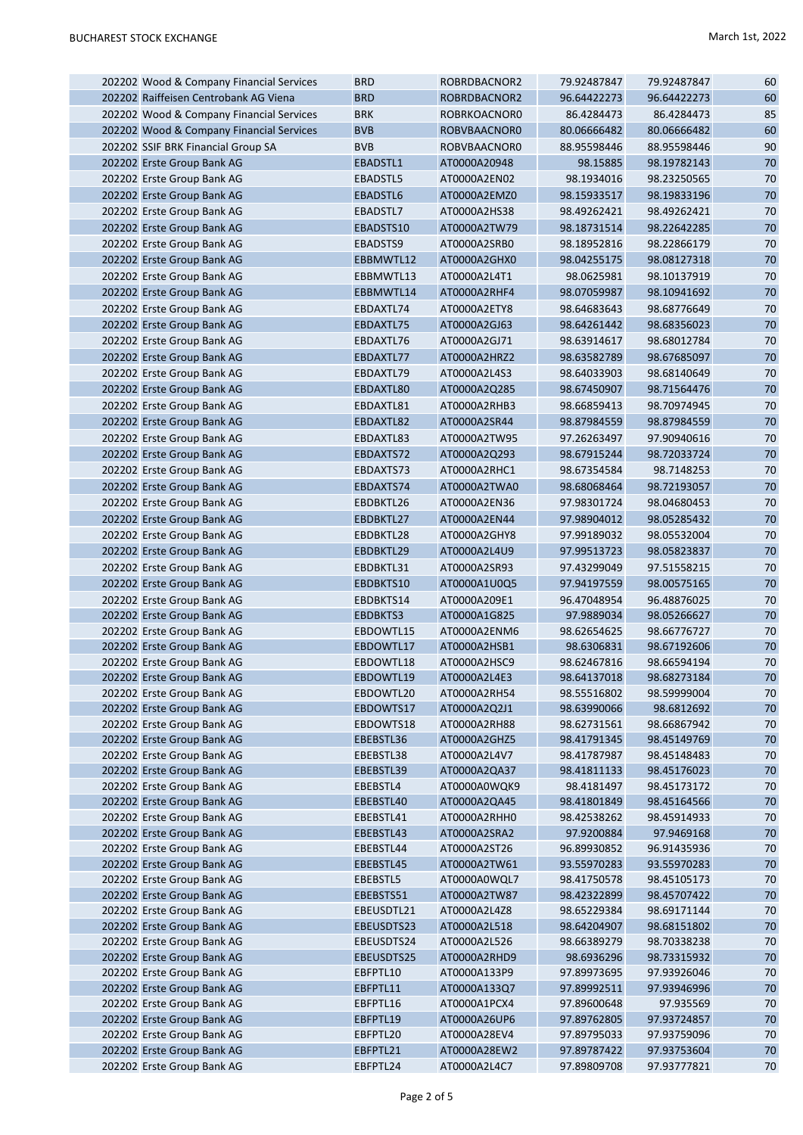| 202202 Wood & Company Financial Services                 | <b>BRD</b>            | ROBRDBACNOR2                 | 79.92487847                | 79.92487847                | 60       |
|----------------------------------------------------------|-----------------------|------------------------------|----------------------------|----------------------------|----------|
| 202202 Raiffeisen Centrobank AG Viena                    | <b>BRD</b>            | ROBRDBACNOR2                 | 96.64422273                | 96.64422273                | 60       |
| 202202 Wood & Company Financial Services                 | <b>BRK</b>            | ROBRKOACNOR0                 | 86.4284473                 | 86.4284473                 | 85       |
| 202202 Wood & Company Financial Services                 | <b>BVB</b>            | ROBVBAACNOR0                 | 80.06666482                | 80.06666482                | 60       |
| 202202 SSIF BRK Financial Group SA                       | <b>BVB</b>            | ROBVBAACNOR0                 | 88.95598446                | 88.95598446                | 90       |
| 202202 Erste Group Bank AG                               | EBADSTL1              | AT0000A20948                 | 98.15885                   | 98.19782143                | 70       |
| 202202 Erste Group Bank AG                               | EBADSTL5              | AT0000A2EN02                 | 98.1934016                 | 98.23250565                | 70       |
|                                                          | EBADSTL6              | AT0000A2EMZ0                 | 98.15933517                | 98.19833196                | 70       |
| 202202 Erste Group Bank AG                               |                       |                              |                            |                            |          |
| 202202 Erste Group Bank AG                               | EBADSTL7              | AT0000A2HS38                 | 98.49262421                | 98.49262421                | 70       |
| 202202 Erste Group Bank AG                               | EBADSTS10             | AT0000A2TW79                 | 98.18731514                | 98.22642285                | 70       |
| 202202 Erste Group Bank AG                               | EBADSTS9              | AT0000A2SRB0                 | 98.18952816                | 98.22866179                | 70       |
| 202202 Erste Group Bank AG                               | EBBMWTL12             | AT0000A2GHX0                 | 98.04255175                | 98.08127318                | 70       |
| 202202 Erste Group Bank AG                               | EBBMWTL13             | AT0000A2L4T1                 | 98.0625981                 | 98.10137919                | 70       |
| 202202 Erste Group Bank AG                               | EBBMWTL14             | AT0000A2RHF4                 | 98.07059987                | 98.10941692                | 70       |
| 202202 Erste Group Bank AG                               | EBDAXTL74             | AT0000A2ETY8                 | 98.64683643                | 98.68776649                | 70       |
| 202202 Erste Group Bank AG                               | EBDAXTL75             | AT0000A2GJ63                 | 98.64261442                | 98.68356023                | 70       |
| 202202 Erste Group Bank AG                               | EBDAXTL76             | AT0000A2GJ71                 | 98.63914617                | 98.68012784                | 70       |
| 202202 Erste Group Bank AG                               | EBDAXTL77             | AT0000A2HRZ2                 | 98.63582789                | 98.67685097                | 70       |
| 202202 Erste Group Bank AG                               | EBDAXTL79             | AT0000A2L4S3                 | 98.64033903                | 98.68140649                | 70       |
| 202202 Erste Group Bank AG                               | EBDAXTL80             | AT0000A2Q285                 | 98.67450907                | 98.71564476                | 70       |
| 202202 Erste Group Bank AG                               | EBDAXTL81             | AT0000A2RHB3                 | 98.66859413                | 98.70974945                | 70       |
| 202202 Erste Group Bank AG                               | EBDAXTL82             | AT0000A2SR44                 | 98.87984559                | 98.87984559                | 70       |
| 202202 Erste Group Bank AG                               | EBDAXTL83             | AT0000A2TW95                 | 97.26263497                | 97.90940616                | 70       |
| 202202 Erste Group Bank AG                               | EBDAXTS72             | AT0000A2Q293                 | 98.67915244                | 98.72033724                | 70       |
| 202202 Erste Group Bank AG                               | EBDAXTS73             | AT0000A2RHC1                 | 98.67354584                | 98.7148253                 | 70       |
| 202202 Erste Group Bank AG                               | EBDAXTS74             | AT0000A2TWA0                 | 98.68068464                | 98.72193057                | 70       |
| 202202 Erste Group Bank AG                               | EBDBKTL26             | AT0000A2EN36                 | 97.98301724                | 98.04680453                | 70       |
| 202202 Erste Group Bank AG                               | EBDBKTL27             | AT0000A2EN44                 | 97.98904012                | 98.05285432                | 70       |
| 202202 Erste Group Bank AG                               | EBDBKTL28             | AT0000A2GHY8                 | 97.99189032                | 98.05532004                | 70       |
| 202202 Erste Group Bank AG                               | EBDBKTL29             | AT0000A2L4U9                 | 97.99513723                | 98.05823837                | 70       |
|                                                          |                       |                              |                            |                            |          |
| 202202 Erste Group Bank AG                               | EBDBKTL31             | AT0000A2SR93                 | 97.43299049                | 97.51558215                | 70       |
| 202202 Erste Group Bank AG                               | EBDBKTS10             | AT0000A1U0Q5                 | 97.94197559                | 98.00575165                | 70       |
| 202202 Erste Group Bank AG                               | EBDBKTS14             | AT0000A209E1                 | 96.47048954                | 96.48876025                | 70       |
| 202202 Erste Group Bank AG                               | EBDBKTS3              | AT0000A1G825                 | 97.9889034                 | 98.05266627                | 70       |
| 202202 Erste Group Bank AG                               | EBDOWTL15             | AT0000A2ENM6                 | 98.62654625                | 98.66776727                | 70       |
| 202202 Erste Group Bank AG                               | EBDOWTL17             | AT0000A2HSB1                 | 98.6306831                 | 98.67192606                | 70       |
| 202202 Erste Group Bank AG                               | EBDOWTL18             | AT0000A2HSC9                 | 98.62467816                | 98.66594194                | 70       |
| 202202 Erste Group Bank AG                               | EBDOWTL19             | AT0000A2L4E3                 | 98.64137018                | 98.68273184                | $70\,$   |
| 202202 Erste Group Bank AG                               | EBDOWTL20             | AT0000A2RH54                 | 98.55516802                | 98.59999004                | 70       |
| 202202 Erste Group Bank AG                               | EBDOWTS17             | AT0000A2Q2J1                 | 98.63990066                | 98.6812692                 | 70       |
| 202202 Erste Group Bank AG                               | EBDOWTS18             | AT0000A2RH88                 | 98.62731561                | 98.66867942                | 70       |
| 202202 Erste Group Bank AG                               | EBEBSTL36             | AT0000A2GHZ5                 | 98.41791345                | 98.45149769                | 70       |
| 202202 Erste Group Bank AG                               | EBEBSTL38             | AT0000A2L4V7                 | 98.41787987                | 98.45148483                | 70       |
| 202202 Erste Group Bank AG                               | EBEBSTL39             | AT0000A2QA37                 | 98.41811133                | 98.45176023                | 70       |
| 202202 Erste Group Bank AG                               | EBEBSTL4              | AT0000A0WQK9<br>AT0000A2QA45 | 98.4181497                 | 98.45173172                | 70       |
| 202202 Erste Group Bank AG<br>202202 Erste Group Bank AG | EBEBSTL40             |                              | 98.41801849<br>98.42538262 | 98.45164566                | 70       |
| 202202 Erste Group Bank AG                               | EBEBSTL41             | AT0000A2RHH0<br>AT0000A2SRA2 |                            | 98.45914933                | 70<br>70 |
|                                                          | EBEBSTL43             |                              | 97.9200884                 | 97.9469168                 |          |
| 202202 Erste Group Bank AG<br>202202 Erste Group Bank AG | EBEBSTL44             | AT0000A2ST26<br>AT0000A2TW61 | 96.89930852<br>93.55970283 | 96.91435936<br>93.55970283 | 70<br>70 |
|                                                          | EBEBSTL45<br>EBEBSTL5 |                              |                            |                            | 70       |
| 202202 Erste Group Bank AG<br>202202 Erste Group Bank AG | EBEBSTS51             | AT0000A0WQL7<br>AT0000A2TW87 | 98.41750578<br>98.42322899 | 98.45105173<br>98.45707422 | 70       |
| 202202 Erste Group Bank AG                               | EBEUSDTL21            | AT0000A2L4Z8                 | 98.65229384                | 98.69171144                | 70       |
| 202202 Erste Group Bank AG                               | EBEUSDTS23            | AT0000A2L518                 |                            | 98.68151802                | 70       |
| 202202 Erste Group Bank AG                               | EBEUSDTS24            | AT0000A2L526                 | 98.64204907<br>98.66389279 | 98.70338238                | 70       |
| 202202 Erste Group Bank AG                               | EBEUSDTS25            | AT0000A2RHD9                 | 98.6936296                 | 98.73315932                | 70       |
| 202202 Erste Group Bank AG                               | EBFPTL10              | AT0000A133P9                 | 97.89973695                | 97.93926046                | 70       |
| 202202 Erste Group Bank AG                               | EBFPTL11              | AT0000A133Q7                 | 97.89992511                | 97.93946996                | 70       |
| 202202 Erste Group Bank AG                               | EBFPTL16              | AT0000A1PCX4                 | 97.89600648                | 97.935569                  | 70       |
| 202202 Erste Group Bank AG                               | EBFPTL19              | AT0000A26UP6                 | 97.89762805                | 97.93724857                | 70       |
| 202202 Erste Group Bank AG                               | EBFPTL20              | AT0000A28EV4                 | 97.89795033                | 97.93759096                | 70       |
| 202202 Erste Group Bank AG                               | EBFPTL21              | AT0000A28EW2                 | 97.89787422                | 97.93753604                | 70       |
| 202202 Erste Group Bank AG                               | EBFPTL24              | AT0000A2L4C7                 | 97.89809708                | 97.93777821                | 70       |
|                                                          |                       |                              |                            |                            |          |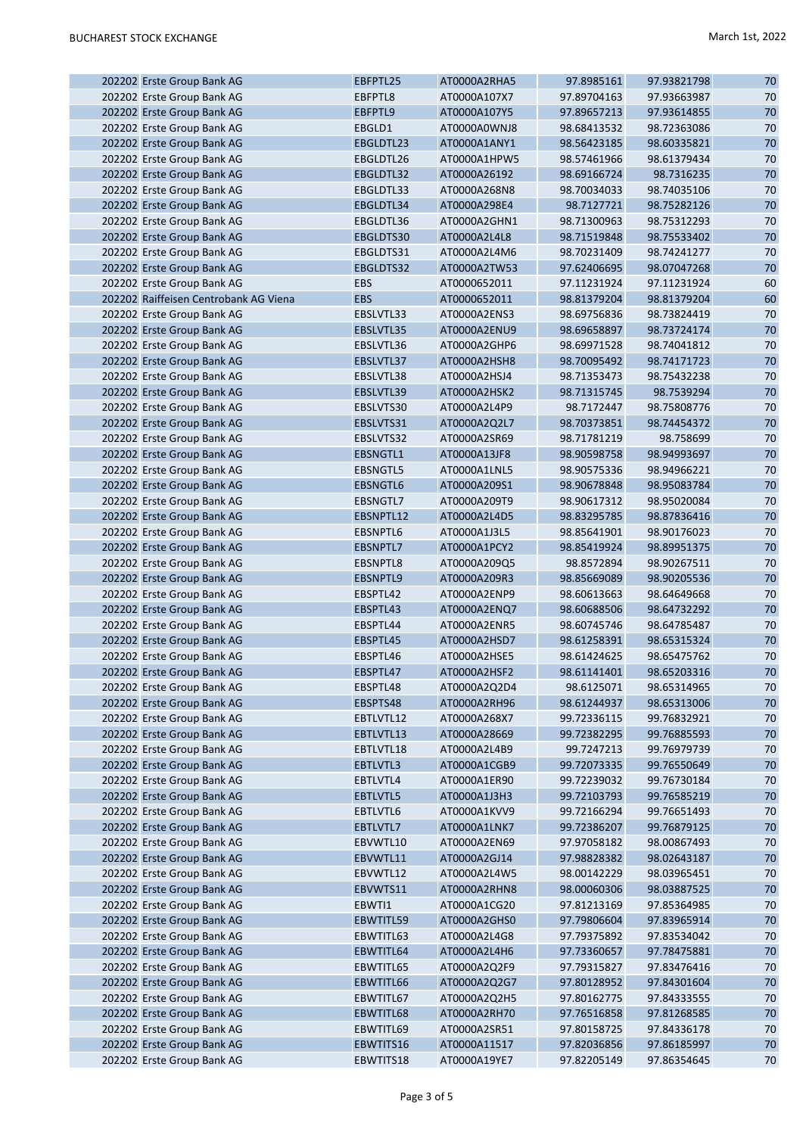| 202202 Erste Group Bank AG            | EBFPTL25        | AT0000A2RHA5 | 97.8985161  | 97.93821798 | 70 |
|---------------------------------------|-----------------|--------------|-------------|-------------|----|
| 202202 Erste Group Bank AG            | EBFPTL8         | AT0000A107X7 | 97.89704163 | 97.93663987 | 70 |
| 202202 Erste Group Bank AG            | EBFPTL9         | AT0000A107Y5 | 97.89657213 | 97.93614855 | 70 |
| 202202 Erste Group Bank AG            | EBGLD1          | AT0000A0WNJ8 | 98.68413532 | 98.72363086 | 70 |
| 202202 Erste Group Bank AG            | EBGLDTL23       | AT0000A1ANY1 | 98.56423185 | 98.60335821 | 70 |
| 202202 Erste Group Bank AG            | EBGLDTL26       | AT0000A1HPW5 | 98.57461966 | 98.61379434 | 70 |
| 202202 Erste Group Bank AG            | EBGLDTL32       | AT0000A26192 | 98.69166724 | 98.7316235  | 70 |
| 202202 Erste Group Bank AG            | EBGLDTL33       | AT0000A268N8 | 98.70034033 | 98.74035106 | 70 |
| 202202 Erste Group Bank AG            | EBGLDTL34       | AT0000A298E4 | 98.7127721  | 98.75282126 | 70 |
| 202202 Erste Group Bank AG            | EBGLDTL36       | AT0000A2GHN1 | 98.71300963 | 98.75312293 | 70 |
| 202202 Erste Group Bank AG            | EBGLDTS30       | AT0000A2L4L8 | 98.71519848 | 98.75533402 | 70 |
| 202202 Erste Group Bank AG            | EBGLDTS31       | AT0000A2L4M6 | 98.70231409 | 98.74241277 | 70 |
|                                       |                 | AT0000A2TW53 |             |             |    |
| 202202 Erste Group Bank AG            | EBGLDTS32       |              | 97.62406695 | 98.07047268 | 70 |
| 202202 Erste Group Bank AG            | <b>EBS</b>      | AT0000652011 | 97.11231924 | 97.11231924 | 60 |
| 202202 Raiffeisen Centrobank AG Viena | <b>EBS</b>      | AT0000652011 | 98.81379204 | 98.81379204 | 60 |
| 202202 Erste Group Bank AG            | EBSLVTL33       | AT0000A2ENS3 | 98.69756836 | 98.73824419 | 70 |
| 202202 Erste Group Bank AG            | EBSLVTL35       | AT0000A2ENU9 | 98.69658897 | 98.73724174 | 70 |
| 202202 Erste Group Bank AG            | EBSLVTL36       | AT0000A2GHP6 | 98.69971528 | 98.74041812 | 70 |
| 202202 Erste Group Bank AG            | EBSLVTL37       | AT0000A2HSH8 | 98.70095492 | 98.74171723 | 70 |
| 202202 Erste Group Bank AG            | EBSLVTL38       | AT0000A2HSJ4 | 98.71353473 | 98.75432238 | 70 |
| 202202 Erste Group Bank AG            | EBSLVTL39       | AT0000A2HSK2 | 98.71315745 | 98.7539294  | 70 |
| 202202 Erste Group Bank AG            | EBSLVTS30       | AT0000A2L4P9 | 98.7172447  | 98.75808776 | 70 |
| 202202 Erste Group Bank AG            | EBSLVTS31       | AT0000A2Q2L7 | 98.70373851 | 98.74454372 | 70 |
| 202202 Erste Group Bank AG            | EBSLVTS32       | AT0000A2SR69 | 98.71781219 | 98.758699   | 70 |
| 202202 Erste Group Bank AG            | EBSNGTL1        | AT0000A13JF8 | 98.90598758 | 98.94993697 | 70 |
| 202202 Erste Group Bank AG            | <b>EBSNGTL5</b> | AT0000A1LNL5 | 98.90575336 | 98.94966221 | 70 |
| 202202 Erste Group Bank AG            | <b>EBSNGTL6</b> | AT0000A209S1 | 98.90678848 | 98.95083784 | 70 |
| 202202 Erste Group Bank AG            | EBSNGTL7        | AT0000A209T9 | 98.90617312 | 98.95020084 | 70 |
| 202202 Erste Group Bank AG            | EBSNPTL12       | AT0000A2L4D5 | 98.83295785 | 98.87836416 | 70 |
| 202202 Erste Group Bank AG            | EBSNPTL6        | AT0000A1J3L5 | 98.85641901 | 98.90176023 | 70 |
| 202202 Erste Group Bank AG            | EBSNPTL7        | AT0000A1PCY2 | 98.85419924 | 98.89951375 | 70 |
| 202202 Erste Group Bank AG            | EBSNPTL8        | AT0000A209Q5 | 98.8572894  | 98.90267511 | 70 |
|                                       |                 |              |             |             | 70 |
| 202202 Erste Group Bank AG            | EBSNPTL9        | AT0000A209R3 | 98.85669089 | 98.90205536 |    |
| 202202 Erste Group Bank AG            | EBSPTL42        | AT0000A2ENP9 | 98.60613663 | 98.64649668 | 70 |
| 202202 Erste Group Bank AG            | EBSPTL43        | AT0000A2ENQ7 | 98.60688506 | 98.64732292 | 70 |
| 202202 Erste Group Bank AG            | EBSPTL44        | AT0000A2ENR5 | 98.60745746 | 98.64785487 | 70 |
| 202202 Erste Group Bank AG            | EBSPTL45        | AT0000A2HSD7 | 98.61258391 | 98.65315324 | 70 |
| 202202 Erste Group Bank AG            | EBSPTL46        | AT0000A2HSE5 | 98.61424625 | 98.65475762 | 70 |
| 202202 Erste Group Bank AG            | EBSPTL47        | AT0000A2HSF2 | 98.61141401 | 98.65203316 | 70 |
| 202202 Erste Group Bank AG            | EBSPTL48        | AT0000A2Q2D4 | 98.6125071  | 98.65314965 | 70 |
| 202202 Erste Group Bank AG            | EBSPTS48        | AT0000A2RH96 | 98.61244937 | 98.65313006 | 70 |
| 202202 Erste Group Bank AG            | EBTLVTL12       | AT0000A268X7 | 99.72336115 | 99.76832921 | 70 |
| 202202 Erste Group Bank AG            | EBTLVTL13       | AT0000A28669 | 99.72382295 | 99.76885593 | 70 |
| 202202 Erste Group Bank AG            | EBTLVTL18       | AT0000A2L4B9 | 99.7247213  | 99.76979739 | 70 |
| 202202 Erste Group Bank AG            | EBTLVTL3        | AT0000A1CGB9 | 99.72073335 | 99.76550649 | 70 |
| 202202 Erste Group Bank AG            | EBTLVTL4        | AT0000A1ER90 | 99.72239032 | 99.76730184 | 70 |
| 202202 Erste Group Bank AG            | EBTLVTL5        | AT0000A1J3H3 | 99.72103793 | 99.76585219 | 70 |
| 202202 Erste Group Bank AG            | EBTLVTL6        | AT0000A1KVV9 | 99.72166294 | 99.76651493 | 70 |
| 202202 Erste Group Bank AG            | EBTLVTL7        | AT0000A1LNK7 | 99.72386207 | 99.76879125 | 70 |
| 202202 Erste Group Bank AG            | EBVWTL10        | AT0000A2EN69 | 97.97058182 | 98.00867493 | 70 |
| 202202 Erste Group Bank AG            | EBVWTL11        | AT0000A2GJ14 | 97.98828382 | 98.02643187 | 70 |
| 202202 Erste Group Bank AG            | EBVWTL12        | AT0000A2L4W5 | 98.00142229 | 98.03965451 | 70 |
| 202202 Erste Group Bank AG            | EBVWTS11        | AT0000A2RHN8 | 98.00060306 | 98.03887525 | 70 |
| 202202 Erste Group Bank AG            | EBWTI1          | AT0000A1CG20 | 97.81213169 | 97.85364985 | 70 |
|                                       |                 |              |             |             | 70 |
| 202202 Erste Group Bank AG            | EBWTITL59       | AT0000A2GHS0 | 97.79806604 | 97.83965914 |    |
| 202202 Erste Group Bank AG            | EBWTITL63       | AT0000A2L4G8 | 97.79375892 | 97.83534042 | 70 |
| 202202 Erste Group Bank AG            | EBWTITL64       | AT0000A2L4H6 | 97.73360657 | 97.78475881 | 70 |
| 202202 Erste Group Bank AG            | EBWTITL65       | AT0000A2Q2F9 | 97.79315827 | 97.83476416 | 70 |
| 202202 Erste Group Bank AG            | EBWTITL66       | AT0000A2Q2G7 | 97.80128952 | 97.84301604 | 70 |
| 202202 Erste Group Bank AG            | EBWTITL67       | AT0000A2Q2H5 | 97.80162775 | 97.84333555 | 70 |
| 202202 Erste Group Bank AG            | EBWTITL68       | AT0000A2RH70 | 97.76516858 | 97.81268585 | 70 |
| 202202 Erste Group Bank AG            | EBWTITL69       | AT0000A2SR51 | 97.80158725 | 97.84336178 | 70 |
| 202202 Erste Group Bank AG            | EBWTITS16       | AT0000A11517 | 97.82036856 | 97.86185997 | 70 |
| 202202 Erste Group Bank AG            | EBWTITS18       | AT0000A19YE7 | 97.82205149 | 97.86354645 | 70 |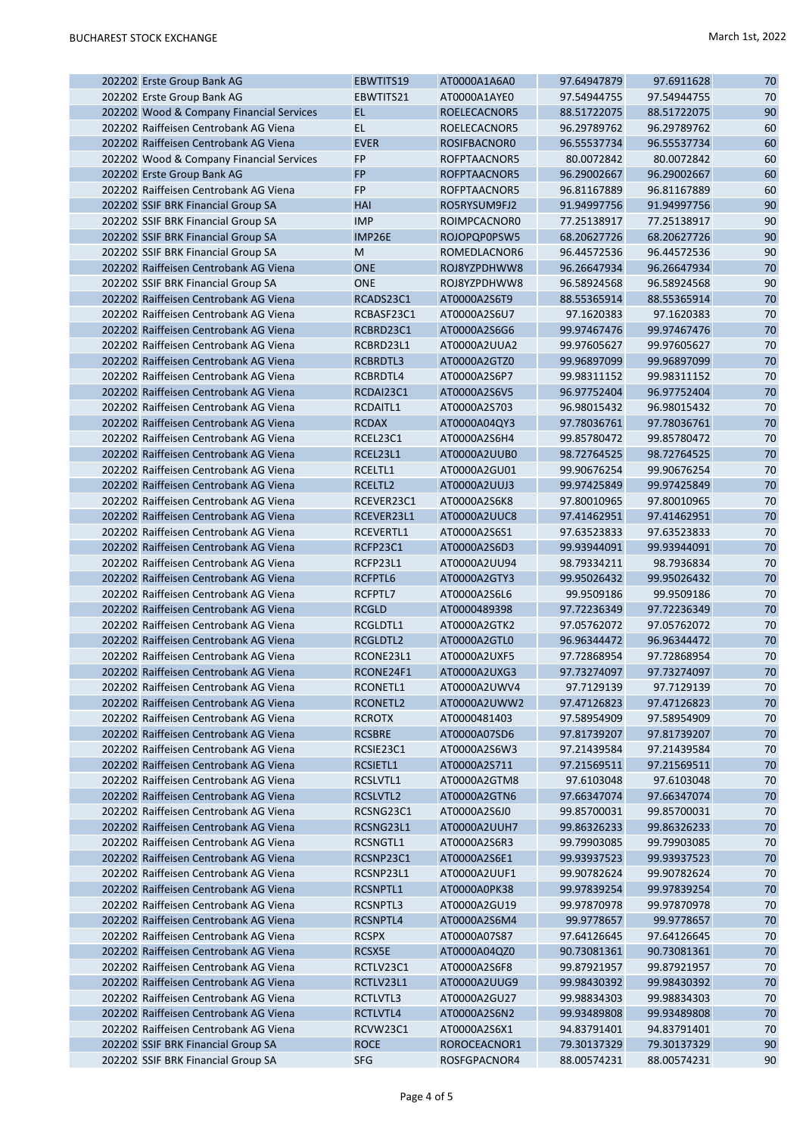I

| 202202 Erste Group Bank AG               | EBWTITS19     | AT0000A1A6A0 | 97.64947879 | 97.6911628  | 70     |
|------------------------------------------|---------------|--------------|-------------|-------------|--------|
| 202202 Erste Group Bank AG               | EBWTITS21     | AT0000A1AYE0 | 97.54944755 | 97.54944755 | 70     |
| 202202 Wood & Company Financial Services | <b>EL</b>     | ROELECACNOR5 | 88.51722075 | 88.51722075 | 90     |
| 202202 Raiffeisen Centrobank AG Viena    | <b>EL</b>     | ROELECACNOR5 | 96.29789762 | 96.29789762 | 60     |
| 202202 Raiffeisen Centrobank AG Viena    | <b>EVER</b>   | ROSIFBACNOR0 | 96.55537734 | 96.55537734 | 60     |
| 202202 Wood & Company Financial Services | <b>FP</b>     | ROFPTAACNOR5 | 80.0072842  | 80.0072842  | 60     |
| 202202 Erste Group Bank AG               | <b>FP</b>     | ROFPTAACNOR5 | 96.29002667 | 96.29002667 | 60     |
| 202202 Raiffeisen Centrobank AG Viena    | <b>FP</b>     | ROFPTAACNOR5 | 96.81167889 | 96.81167889 | 60     |
| 202202 SSIF BRK Financial Group SA       | HAI           | RO5RYSUM9FJ2 | 91.94997756 | 91.94997756 | 90     |
| 202202 SSIF BRK Financial Group SA       | <b>IMP</b>    | ROIMPCACNOR0 | 77.25138917 | 77.25138917 | 90     |
| 202202 SSIF BRK Financial Group SA       | <b>IMP26E</b> | ROJOPQP0PSW5 | 68.20627726 | 68.20627726 | 90     |
| 202202 SSIF BRK Financial Group SA       | M             | ROMEDLACNOR6 | 96.44572536 | 96.44572536 | 90     |
| 202202 Raiffeisen Centrobank AG Viena    | <b>ONE</b>    | ROJ8YZPDHWW8 | 96.26647934 | 96.26647934 | 70     |
| 202202 SSIF BRK Financial Group SA       | <b>ONE</b>    | ROJ8YZPDHWW8 | 96.58924568 | 96.58924568 | 90     |
| 202202 Raiffeisen Centrobank AG Viena    | RCADS23C1     | AT0000A2S6T9 | 88.55365914 | 88.55365914 | 70     |
| 202202 Raiffeisen Centrobank AG Viena    | RCBASF23C1    | AT0000A2S6U7 | 97.1620383  | 97.1620383  | 70     |
| 202202 Raiffeisen Centrobank AG Viena    | RCBRD23C1     | AT0000A2S6G6 | 99.97467476 | 99.97467476 | 70     |
| 202202 Raiffeisen Centrobank AG Viena    | RCBRD23L1     | AT0000A2UUA2 | 99.97605627 | 99.97605627 | 70     |
| 202202 Raiffeisen Centrobank AG Viena    | RCBRDTL3      | AT0000A2GTZ0 | 99.96897099 | 99.96897099 | 70     |
| 202202 Raiffeisen Centrobank AG Viena    | RCBRDTL4      | AT0000A2S6P7 | 99.98311152 | 99.98311152 | 70     |
| 202202 Raiffeisen Centrobank AG Viena    | RCDAI23C1     |              | 96.97752404 |             | 70     |
|                                          |               | AT0000A2S6V5 |             | 96.97752404 |        |
| 202202 Raiffeisen Centrobank AG Viena    | RCDAITL1      | AT0000A2S703 | 96.98015432 | 96.98015432 | 70     |
| 202202 Raiffeisen Centrobank AG Viena    | <b>RCDAX</b>  | AT0000A04QY3 | 97.78036761 | 97.78036761 | 70     |
| 202202 Raiffeisen Centrobank AG Viena    | RCEL23C1      | AT0000A2S6H4 | 99.85780472 | 99.85780472 | 70     |
| 202202 Raiffeisen Centrobank AG Viena    | RCEL23L1      | AT0000A2UUB0 | 98.72764525 | 98.72764525 | 70     |
| 202202 Raiffeisen Centrobank AG Viena    | RCELTL1       | AT0000A2GU01 | 99.90676254 | 99.90676254 | 70     |
| 202202 Raiffeisen Centrobank AG Viena    | RCELTL2       | AT0000A2UUJ3 | 99.97425849 | 99.97425849 | 70     |
| 202202 Raiffeisen Centrobank AG Viena    | RCEVER23C1    | AT0000A2S6K8 | 97.80010965 | 97.80010965 | 70     |
| 202202 Raiffeisen Centrobank AG Viena    | RCEVER23L1    | AT0000A2UUC8 | 97.41462951 | 97.41462951 | 70     |
| 202202 Raiffeisen Centrobank AG Viena    | RCEVERTL1     | AT0000A2S6S1 | 97.63523833 | 97.63523833 | 70     |
| 202202 Raiffeisen Centrobank AG Viena    | RCFP23C1      | AT0000A2S6D3 | 99.93944091 | 99.93944091 | 70     |
| 202202 Raiffeisen Centrobank AG Viena    | RCFP23L1      | AT0000A2UU94 | 98.79334211 | 98.7936834  | 70     |
| 202202 Raiffeisen Centrobank AG Viena    | RCFPTL6       | AT0000A2GTY3 | 99.95026432 | 99.95026432 | 70     |
| 202202 Raiffeisen Centrobank AG Viena    | RCFPTL7       | AT0000A2S6L6 | 99.9509186  | 99.9509186  | 70     |
| 202202 Raiffeisen Centrobank AG Viena    | <b>RCGLD</b>  | AT0000489398 | 97.72236349 | 97.72236349 | 70     |
| 202202 Raiffeisen Centrobank AG Viena    | RCGLDTL1      | AT0000A2GTK2 | 97.05762072 | 97.05762072 | 70     |
| 202202 Raiffeisen Centrobank AG Viena    | RCGLDTL2      | AT0000A2GTL0 | 96.96344472 | 96.96344472 | 70     |
| 202202 Raiffeisen Centrobank AG Viena    | RCONE23L1     | AT0000A2UXF5 | 97.72868954 | 97.72868954 | 70     |
| 202202 Raiffeisen Centrobank AG Viena    | RCONE24F1     | AT0000A2UXG3 | 97.73274097 | 97.73274097 | $70\,$ |
| 202202 Raiffeisen Centrobank AG Viena    | RCONETL1      | AT0000A2UWV4 | 97.7129139  | 97.7129139  | 70     |
| 202202 Raiffeisen Centrobank AG Viena    | RCONETL2      | AT0000A2UWW2 | 97.47126823 | 97.47126823 | 70     |
| 202202 Raiffeisen Centrobank AG Viena    | <b>RCROTX</b> | AT0000481403 | 97.58954909 | 97.58954909 | 70     |
| 202202 Raiffeisen Centrobank AG Viena    | <b>RCSBRE</b> | AT0000A07SD6 | 97.81739207 | 97.81739207 | 70     |
| 202202 Raiffeisen Centrobank AG Viena    | RCSIE23C1     | AT0000A2S6W3 | 97.21439584 | 97.21439584 | 70     |
| 202202 Raiffeisen Centrobank AG Viena    | RCSIETL1      | AT0000A2S711 | 97.21569511 | 97.21569511 | 70     |
| 202202 Raiffeisen Centrobank AG Viena    | RCSLVTL1      | AT0000A2GTM8 | 97.6103048  | 97.6103048  | 70     |
| 202202 Raiffeisen Centrobank AG Viena    | RCSLVTL2      | AT0000A2GTN6 | 97.66347074 | 97.66347074 | 70     |
| 202202 Raiffeisen Centrobank AG Viena    | RCSNG23C1     | AT0000A2S6J0 | 99.85700031 | 99.85700031 | 70     |
| 202202 Raiffeisen Centrobank AG Viena    | RCSNG23L1     | AT0000A2UUH7 | 99.86326233 | 99.86326233 | 70     |
| 202202 Raiffeisen Centrobank AG Viena    | RCSNGTL1      | AT0000A2S6R3 | 99.79903085 | 99.79903085 | 70     |
| 202202 Raiffeisen Centrobank AG Viena    | RCSNP23C1     | AT0000A2S6E1 | 99.93937523 | 99.93937523 | 70     |
| 202202 Raiffeisen Centrobank AG Viena    | RCSNP23L1     | AT0000A2UUF1 | 99.90782624 | 99.90782624 | 70     |
| 202202 Raiffeisen Centrobank AG Viena    | RCSNPTL1      | AT0000A0PK38 | 99.97839254 | 99.97839254 | 70     |
| 202202 Raiffeisen Centrobank AG Viena    | RCSNPTL3      | AT0000A2GU19 | 99.97870978 | 99.97870978 | 70     |
| 202202 Raiffeisen Centrobank AG Viena    | RCSNPTL4      | AT0000A2S6M4 | 99.9778657  | 99.9778657  | 70     |
| 202202 Raiffeisen Centrobank AG Viena    | <b>RCSPX</b>  | AT0000A07S87 | 97.64126645 | 97.64126645 | 70     |
| 202202 Raiffeisen Centrobank AG Viena    | RCSX5E        | AT0000A04QZ0 | 90.73081361 | 90.73081361 | 70     |
| 202202 Raiffeisen Centrobank AG Viena    | RCTLV23C1     | AT0000A2S6F8 | 99.87921957 | 99.87921957 | 70     |
| 202202 Raiffeisen Centrobank AG Viena    | RCTLV23L1     | AT0000A2UUG9 | 99.98430392 | 99.98430392 | 70     |
| 202202 Raiffeisen Centrobank AG Viena    | RCTLVTL3      | AT0000A2GU27 | 99.98834303 | 99.98834303 | 70     |
| 202202 Raiffeisen Centrobank AG Viena    | RCTLVTL4      | AT0000A2S6N2 | 99.93489808 | 99.93489808 | 70     |
| 202202 Raiffeisen Centrobank AG Viena    | RCVW23C1      | AT0000A2S6X1 | 94.83791401 | 94.83791401 | 70     |
| 202202 SSIF BRK Financial Group SA       | <b>ROCE</b>   | ROROCEACNOR1 | 79.30137329 | 79.30137329 | 90     |
| 202202 SSIF BRK Financial Group SA       | <b>SFG</b>    | ROSFGPACNOR4 | 88.00574231 | 88.00574231 | 90     |
|                                          |               |              |             |             |        |